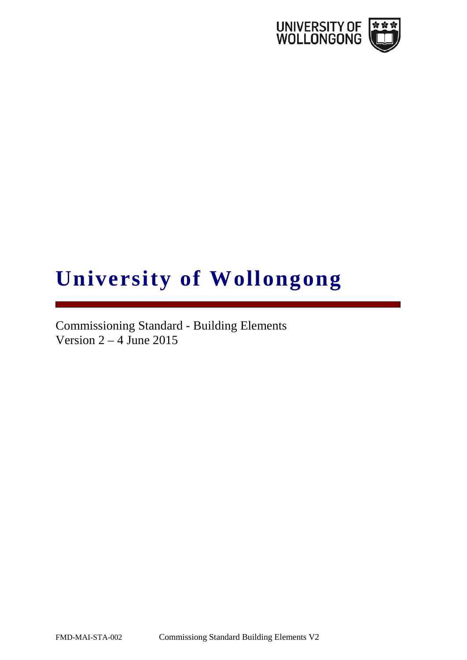

# **University of Wollongong**

Commissioning Standard - Building Elements Version  $2 - 4$  June 2015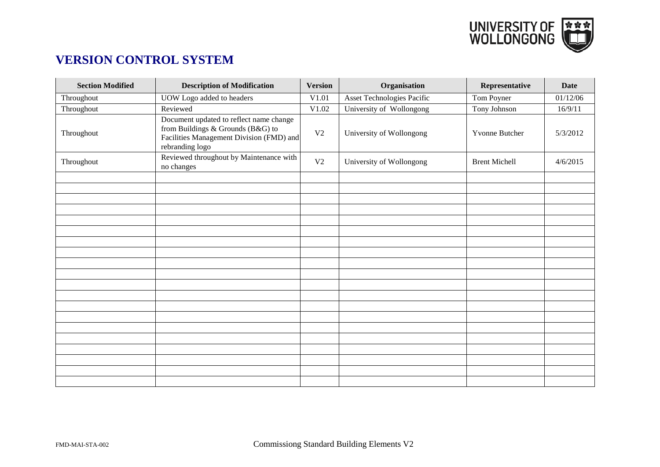

# **VERSION CONTROL SYSTEM**

| <b>Section Modified</b> | <b>Description of Modification</b>                                                                                                          | <b>Version</b> | Organisation               | Representative       | <b>Date</b> |
|-------------------------|---------------------------------------------------------------------------------------------------------------------------------------------|----------------|----------------------------|----------------------|-------------|
| Throughout              | UOW Logo added to headers                                                                                                                   | V1.01          | Asset Technologies Pacific | Tom Poyner           | 01/12/06    |
| Throughout              | Reviewed                                                                                                                                    | V1.02          | University of Wollongong   | Tony Johnson         | 16/9/11     |
| Throughout              | Document updated to reflect name change<br>from Buildings & Grounds (B&G) to<br>Facilities Management Division (FMD) and<br>rebranding logo | V <sub>2</sub> | University of Wollongong   | Yvonne Butcher       | 5/3/2012    |
| Throughout              | Reviewed throughout by Maintenance with<br>no changes                                                                                       | V <sub>2</sub> | University of Wollongong   | <b>Brent Michell</b> | 4/6/2015    |
|                         |                                                                                                                                             |                |                            |                      |             |
|                         |                                                                                                                                             |                |                            |                      |             |
|                         |                                                                                                                                             |                |                            |                      |             |
|                         |                                                                                                                                             |                |                            |                      |             |
|                         |                                                                                                                                             |                |                            |                      |             |
|                         |                                                                                                                                             |                |                            |                      |             |
|                         |                                                                                                                                             |                |                            |                      |             |
|                         |                                                                                                                                             |                |                            |                      |             |
|                         |                                                                                                                                             |                |                            |                      |             |
|                         |                                                                                                                                             |                |                            |                      |             |
|                         |                                                                                                                                             |                |                            |                      |             |
|                         |                                                                                                                                             |                |                            |                      |             |
|                         |                                                                                                                                             |                |                            |                      |             |
|                         |                                                                                                                                             |                |                            |                      |             |
|                         |                                                                                                                                             |                |                            |                      |             |
|                         |                                                                                                                                             |                |                            |                      |             |
|                         |                                                                                                                                             |                |                            |                      |             |
|                         |                                                                                                                                             |                |                            |                      |             |
|                         |                                                                                                                                             |                |                            |                      |             |
|                         |                                                                                                                                             |                |                            |                      |             |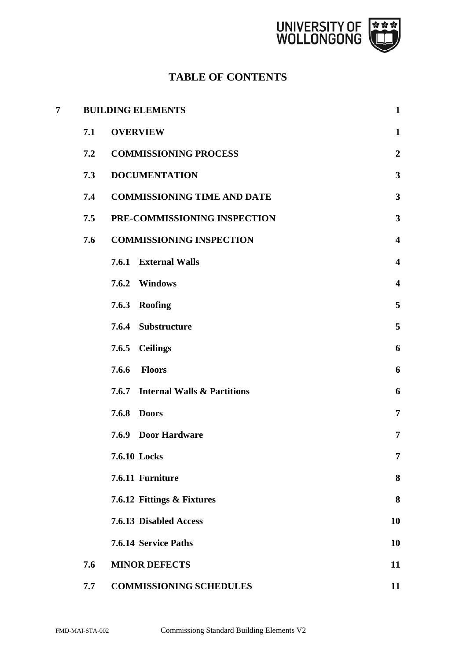

# **TABLE OF CONTENTS**

| 7 |     | <b>BUILDING ELEMENTS</b>           | $\mathbf{1}$            |
|---|-----|------------------------------------|-------------------------|
|   | 7.1 | <b>OVERVIEW</b>                    | $\mathbf{1}$            |
|   | 7.2 | <b>COMMISSIONING PROCESS</b>       | $\boldsymbol{2}$        |
|   | 7.3 | <b>DOCUMENTATION</b>               | $\overline{\mathbf{3}}$ |
|   | 7.4 | <b>COMMISSIONING TIME AND DATE</b> | $\mathbf{3}$            |
|   | 7.5 | PRE-COMMISSIONING INSPECTION       | $\mathbf{3}$            |
|   | 7.6 | <b>COMMISSIONING INSPECTION</b>    | $\overline{\mathbf{4}}$ |
|   |     | 7.6.1 External Walls               | $\overline{\mathbf{4}}$ |
|   |     | 7.6.2 Windows                      | $\overline{\mathbf{4}}$ |
|   |     | 7.6.3 Roofing                      | 5                       |
|   |     | 7.6.4 Substructure                 | 5                       |
|   |     | 7.6.5 Ceilings                     | 6                       |
|   |     | 7.6.6<br><b>Floors</b>             | 6                       |
|   |     | 7.6.7 Internal Walls & Partitions  | 6                       |
|   |     | 7.6.8<br><b>Doors</b>              | $\overline{7}$          |
|   |     | <b>7.6.9 Door Hardware</b>         | $\overline{7}$          |
|   |     | 7.6.10 Locks                       | 7                       |
|   |     | 7.6.11 Furniture                   | 8                       |
|   |     | 7.6.12 Fittings & Fixtures         | 8                       |
|   |     | 7.6.13 Disabled Access             | 10                      |
|   |     | 7.6.14 Service Paths               | 10                      |
|   | 7.6 | <b>MINOR DEFECTS</b>               | 11                      |
|   | 7.7 | <b>COMMISSIONING SCHEDULES</b>     | 11                      |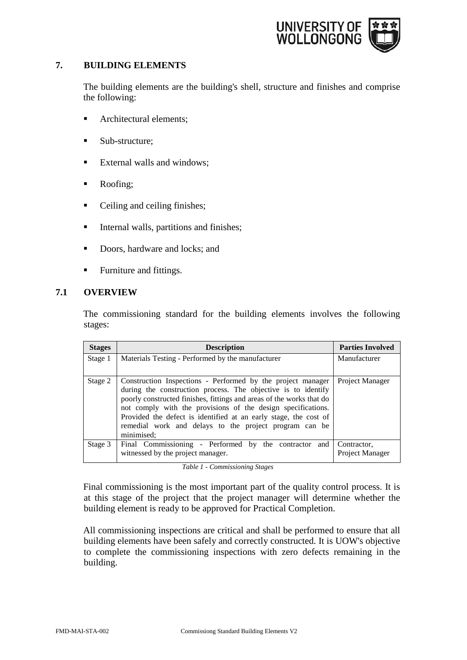

# **7. BUILDING ELEMENTS**

The building elements are the building's shell, structure and finishes and comprise the following:

- **Architectural elements;**
- Sub-structure;
- **External walls and windows;**
- Roofing;
- Ceiling and ceiling finishes;
- Internal walls, partitions and finishes;
- Doors, hardware and locks; and
- Furniture and fittings.

## **7.1 OVERVIEW**

The commissioning standard for the building elements involves the following stages:

| <b>Stages</b> | <b>Description</b>                                                                                                                                                                                                                                                                                                                                                                                               | <b>Parties Involved</b>        |
|---------------|------------------------------------------------------------------------------------------------------------------------------------------------------------------------------------------------------------------------------------------------------------------------------------------------------------------------------------------------------------------------------------------------------------------|--------------------------------|
| Stage 1       | Materials Testing - Performed by the manufacturer                                                                                                                                                                                                                                                                                                                                                                | Manufacturer                   |
| Stage 2       | Construction Inspections - Performed by the project manager<br>during the construction process. The objective is to identify<br>poorly constructed finishes, fittings and areas of the works that do<br>not comply with the provisions of the design specifications.<br>Provided the defect is identified at an early stage, the cost of<br>remedial work and delays to the project program can be<br>minimised; | Project Manager                |
| Stage 3       | Final Commissioning - Performed by the contractor and<br>witnessed by the project manager.                                                                                                                                                                                                                                                                                                                       | Contractor,<br>Project Manager |

*Table 1 - Commissioning Stages* 

Final commissioning is the most important part of the quality control process. It is at this stage of the project that the project manager will determine whether the building element is ready to be approved for Practical Completion.

All commissioning inspections are critical and shall be performed to ensure that all building elements have been safely and correctly constructed. It is UOW's objective to complete the commissioning inspections with zero defects remaining in the building.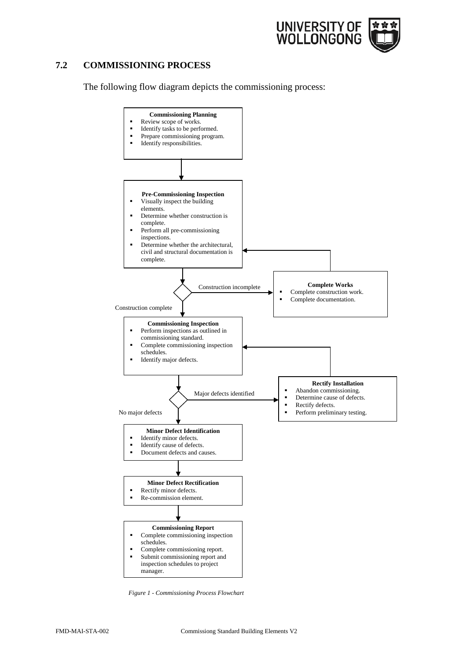

# **7.2 COMMISSIONING PROCESS**

The following flow diagram depicts the commissioning process:



*Figure 1 - Commissioning Process Flowchart*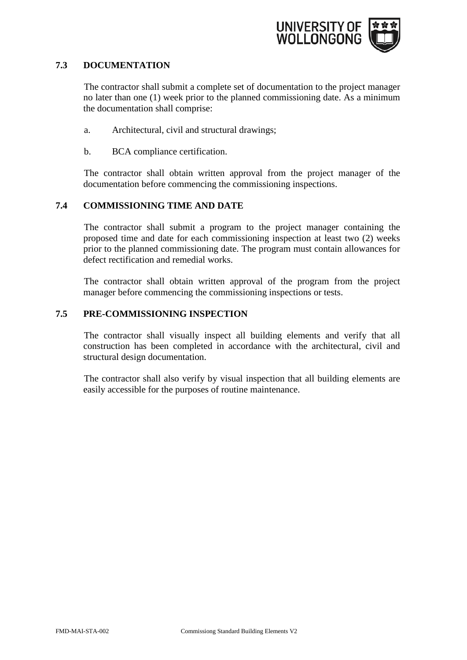

#### **7.3 DOCUMENTATION**

The contractor shall submit a complete set of documentation to the project manager no later than one (1) week prior to the planned commissioning date. As a minimum the documentation shall comprise:

- a. Architectural, civil and structural drawings;
- b. BCA compliance certification.

The contractor shall obtain written approval from the project manager of the documentation before commencing the commissioning inspections.

## **7.4 COMMISSIONING TIME AND DATE**

The contractor shall submit a program to the project manager containing the proposed time and date for each commissioning inspection at least two (2) weeks prior to the planned commissioning date. The program must contain allowances for defect rectification and remedial works.

The contractor shall obtain written approval of the program from the project manager before commencing the commissioning inspections or tests.

# **7.5 PRE-COMMISSIONING INSPECTION**

The contractor shall visually inspect all building elements and verify that all construction has been completed in accordance with the architectural, civil and structural design documentation.

The contractor shall also verify by visual inspection that all building elements are easily accessible for the purposes of routine maintenance.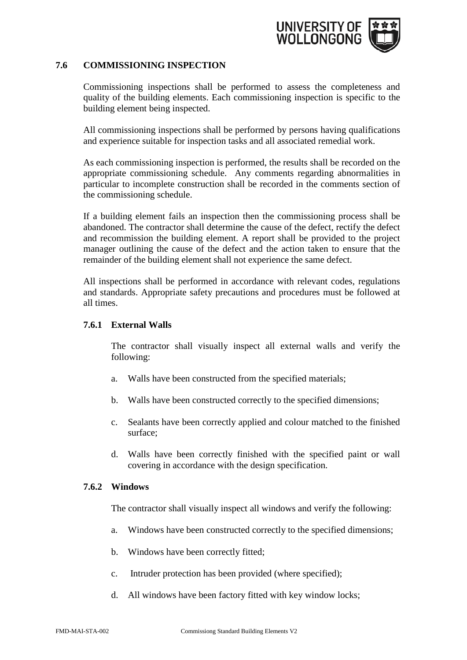

#### **7.6 COMMISSIONING INSPECTION**

Commissioning inspections shall be performed to assess the completeness and quality of the building elements. Each commissioning inspection is specific to the building element being inspected.

All commissioning inspections shall be performed by persons having qualifications and experience suitable for inspection tasks and all associated remedial work.

As each commissioning inspection is performed, the results shall be recorded on the appropriate commissioning schedule. Any comments regarding abnormalities in particular to incomplete construction shall be recorded in the comments section of the commissioning schedule.

If a building element fails an inspection then the commissioning process shall be abandoned. The contractor shall determine the cause of the defect, rectify the defect and recommission the building element. A report shall be provided to the project manager outlining the cause of the defect and the action taken to ensure that the remainder of the building element shall not experience the same defect.

All inspections shall be performed in accordance with relevant codes, regulations and standards. Appropriate safety precautions and procedures must be followed at all times.

#### **7.6.1 External Walls**

The contractor shall visually inspect all external walls and verify the following:

- a. Walls have been constructed from the specified materials;
- b. Walls have been constructed correctly to the specified dimensions;
- c. Sealants have been correctly applied and colour matched to the finished surface;
- d. Walls have been correctly finished with the specified paint or wall covering in accordance with the design specification.

#### **7.6.2 Windows**

The contractor shall visually inspect all windows and verify the following:

- a. Windows have been constructed correctly to the specified dimensions;
- b. Windows have been correctly fitted;
- c. Intruder protection has been provided (where specified);
- d. All windows have been factory fitted with key window locks;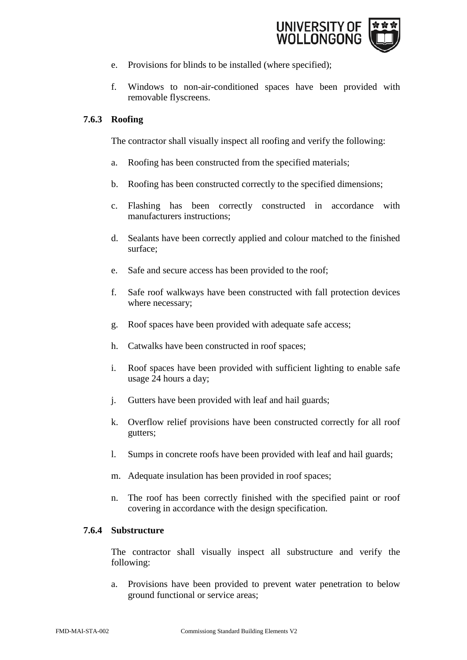

- e. Provisions for blinds to be installed (where specified);
- f. Windows to non-air-conditioned spaces have been provided with removable flyscreens.

# **7.6.3 Roofing**

The contractor shall visually inspect all roofing and verify the following:

- a. Roofing has been constructed from the specified materials;
- b. Roofing has been constructed correctly to the specified dimensions;
- c. Flashing has been correctly constructed in accordance with manufacturers instructions;
- d. Sealants have been correctly applied and colour matched to the finished surface;
- e. Safe and secure access has been provided to the roof;
- f. Safe roof walkways have been constructed with fall protection devices where necessary;
- g. Roof spaces have been provided with adequate safe access;
- h. Catwalks have been constructed in roof spaces;
- i. Roof spaces have been provided with sufficient lighting to enable safe usage 24 hours a day;
- j. Gutters have been provided with leaf and hail guards;
- k. Overflow relief provisions have been constructed correctly for all roof gutters;
- l. Sumps in concrete roofs have been provided with leaf and hail guards;
- m. Adequate insulation has been provided in roof spaces;
- n. The roof has been correctly finished with the specified paint or roof covering in accordance with the design specification.

# **7.6.4 Substructure**

The contractor shall visually inspect all substructure and verify the following:

a. Provisions have been provided to prevent water penetration to below ground functional or service areas;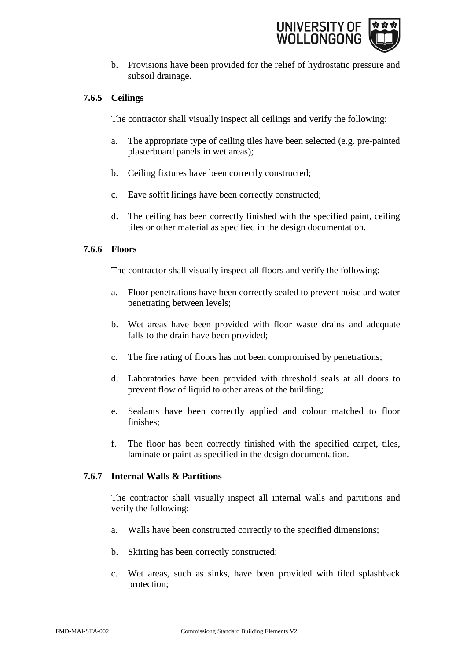

b. Provisions have been provided for the relief of hydrostatic pressure and subsoil drainage.

# **7.6.5 Ceilings**

The contractor shall visually inspect all ceilings and verify the following:

- a. The appropriate type of ceiling tiles have been selected (e.g. pre-painted plasterboard panels in wet areas);
- b. Ceiling fixtures have been correctly constructed;
- c. Eave soffit linings have been correctly constructed;
- d. The ceiling has been correctly finished with the specified paint, ceiling tiles or other material as specified in the design documentation.

## **7.6.6 Floors**

The contractor shall visually inspect all floors and verify the following:

- a. Floor penetrations have been correctly sealed to prevent noise and water penetrating between levels;
- b. Wet areas have been provided with floor waste drains and adequate falls to the drain have been provided;
- c. The fire rating of floors has not been compromised by penetrations;
- d. Laboratories have been provided with threshold seals at all doors to prevent flow of liquid to other areas of the building;
- e. Sealants have been correctly applied and colour matched to floor finishes;
- f. The floor has been correctly finished with the specified carpet, tiles, laminate or paint as specified in the design documentation.

## **7.6.7 Internal Walls & Partitions**

The contractor shall visually inspect all internal walls and partitions and verify the following:

- a. Walls have been constructed correctly to the specified dimensions;
- b. Skirting has been correctly constructed;
- c. Wet areas, such as sinks, have been provided with tiled splashback protection;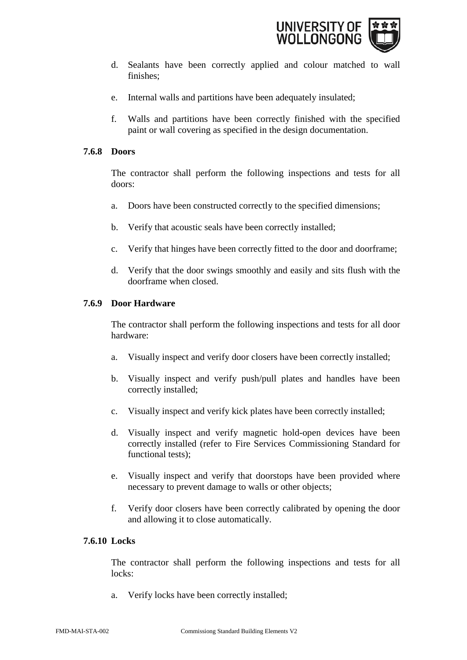

- d. Sealants have been correctly applied and colour matched to wall finishes;
- e. Internal walls and partitions have been adequately insulated;
- f. Walls and partitions have been correctly finished with the specified paint or wall covering as specified in the design documentation.

#### **7.6.8 Doors**

The contractor shall perform the following inspections and tests for all doors:

- a. Doors have been constructed correctly to the specified dimensions;
- b. Verify that acoustic seals have been correctly installed;
- c. Verify that hinges have been correctly fitted to the door and doorframe;
- d. Verify that the door swings smoothly and easily and sits flush with the doorframe when closed.

#### **7.6.9 Door Hardware**

The contractor shall perform the following inspections and tests for all door hardware:

- a. Visually inspect and verify door closers have been correctly installed;
- b. Visually inspect and verify push/pull plates and handles have been correctly installed;
- c. Visually inspect and verify kick plates have been correctly installed;
- d. Visually inspect and verify magnetic hold-open devices have been correctly installed (refer to Fire Services Commissioning Standard for functional tests);
- e. Visually inspect and verify that doorstops have been provided where necessary to prevent damage to walls or other objects;
- f. Verify door closers have been correctly calibrated by opening the door and allowing it to close automatically.

#### **7.6.10 Locks**

The contractor shall perform the following inspections and tests for all locks:

a. Verify locks have been correctly installed;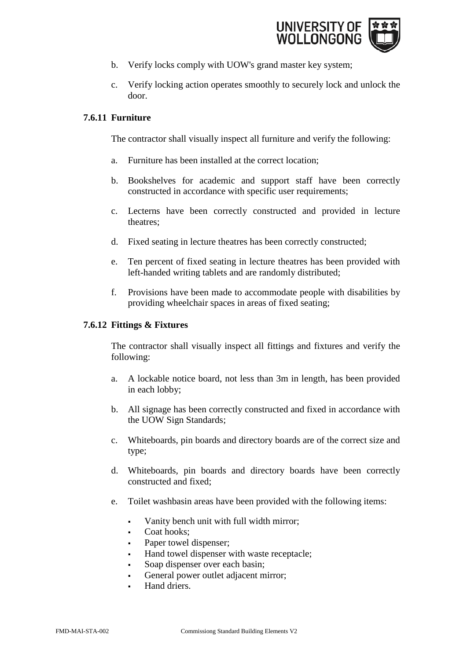

- b. Verify locks comply with UOW's grand master key system;
- c. Verify locking action operates smoothly to securely lock and unlock the door.

# **7.6.11 Furniture**

The contractor shall visually inspect all furniture and verify the following:

- a. Furniture has been installed at the correct location;
- b. Bookshelves for academic and support staff have been correctly constructed in accordance with specific user requirements;
- c. Lecterns have been correctly constructed and provided in lecture theatres;
- d. Fixed seating in lecture theatres has been correctly constructed;
- e. Ten percent of fixed seating in lecture theatres has been provided with left-handed writing tablets and are randomly distributed;
- f. Provisions have been made to accommodate people with disabilities by providing wheelchair spaces in areas of fixed seating;

# **7.6.12 Fittings & Fixtures**

The contractor shall visually inspect all fittings and fixtures and verify the following:

- a. A lockable notice board, not less than 3m in length, has been provided in each lobby;
- b. All signage has been correctly constructed and fixed in accordance with the UOW Sign Standards;
- c. Whiteboards, pin boards and directory boards are of the correct size and type;
- d. Whiteboards, pin boards and directory boards have been correctly constructed and fixed;
- e. Toilet washbasin areas have been provided with the following items:
	- Vanity bench unit with full width mirror;
	- Coat hooks;
	- Paper towel dispenser;
	- Hand towel dispenser with waste receptacle;
	- Soap dispenser over each basin;
	- General power outlet adjacent mirror;
	- Hand driers.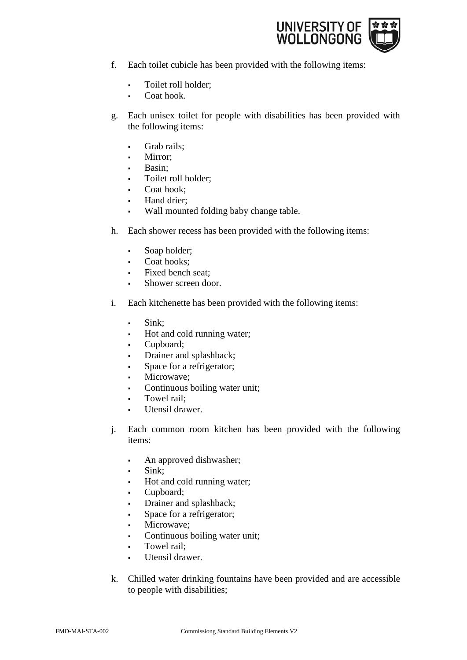

- f. Each toilet cubicle has been provided with the following items:
	- Toilet roll holder;
	- Coat hook.
- g. Each unisex toilet for people with disabilities has been provided with the following items:
	- Grab rails;
	- Mirror;
	- Basin;
	- Toilet roll holder;
	- Coat hook;
	- Hand drier;
	- Wall mounted folding baby change table.
- h. Each shower recess has been provided with the following items:
	- Soap holder;
	- Coat hooks;
	- Fixed bench seat;
	- Shower screen door.
- i. Each kitchenette has been provided with the following items:
	- Sink;
	- Hot and cold running water;
	- Cupboard;
	- Drainer and splashback;
	- Space for a refrigerator;
	- Microwave;
	- Continuous boiling water unit;
	- Towel rail;
	- Utensil drawer.
- j. Each common room kitchen has been provided with the following items:
	- An approved dishwasher;
	- Sink;
	- Hot and cold running water;
	- Cupboard;
	- Drainer and splashback;
	- Space for a refrigerator;
	- Microwave;
	- Continuous boiling water unit;
	- Towel rail;
	- Utensil drawer.
- k. Chilled water drinking fountains have been provided and are accessible to people with disabilities;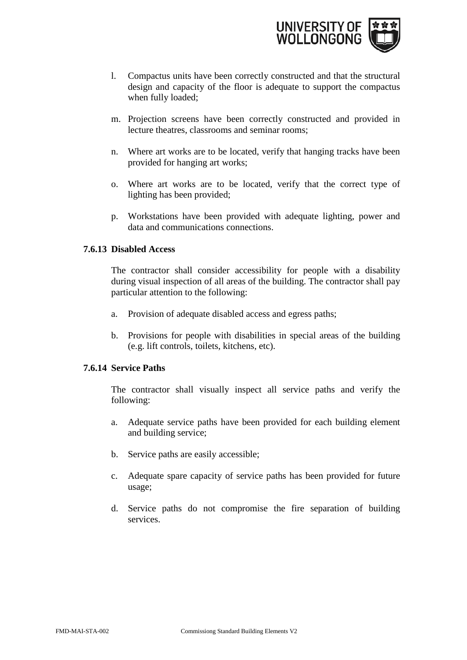

- l. Compactus units have been correctly constructed and that the structural design and capacity of the floor is adequate to support the compactus when fully loaded;
- m. Projection screens have been correctly constructed and provided in lecture theatres, classrooms and seminar rooms;
- n. Where art works are to be located, verify that hanging tracks have been provided for hanging art works;
- o. Where art works are to be located, verify that the correct type of lighting has been provided;
- p. Workstations have been provided with adequate lighting, power and data and communications connections.

#### **7.6.13 Disabled Access**

The contractor shall consider accessibility for people with a disability during visual inspection of all areas of the building. The contractor shall pay particular attention to the following:

- a. Provision of adequate disabled access and egress paths;
- b. Provisions for people with disabilities in special areas of the building (e.g. lift controls, toilets, kitchens, etc).

## **7.6.14 Service Paths**

The contractor shall visually inspect all service paths and verify the following:

- a. Adequate service paths have been provided for each building element and building service;
- b. Service paths are easily accessible;
- c. Adequate spare capacity of service paths has been provided for future usage;
- d. Service paths do not compromise the fire separation of building services.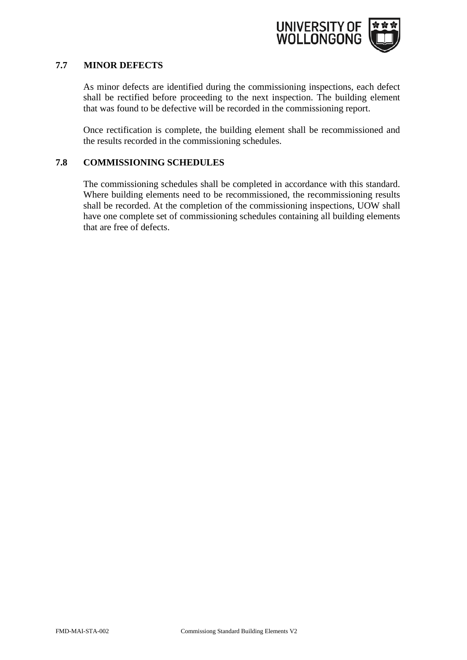

# **7.7 MINOR DEFECTS**

As minor defects are identified during the commissioning inspections, each defect shall be rectified before proceeding to the next inspection. The building element that was found to be defective will be recorded in the commissioning report.

Once rectification is complete, the building element shall be recommissioned and the results recorded in the commissioning schedules.

# **7.8 COMMISSIONING SCHEDULES**

The commissioning schedules shall be completed in accordance with this standard. Where building elements need to be recommissioned, the recommissioning results shall be recorded. At the completion of the commissioning inspections, UOW shall have one complete set of commissioning schedules containing all building elements that are free of defects.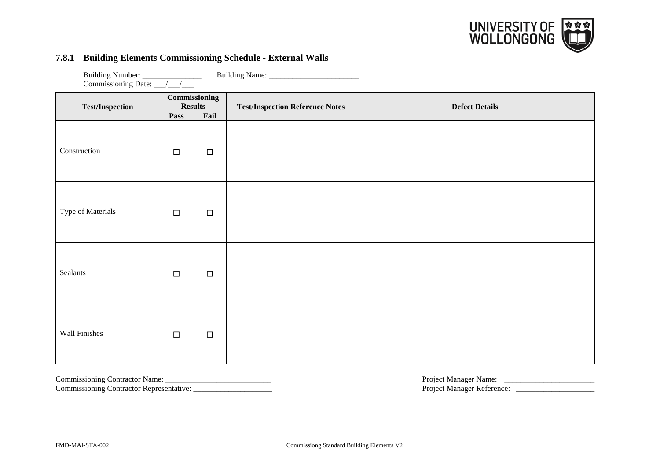

#### **7.8.1 Building Elements Commissioning Schedule - External Walls**

| <b>Test/Inspection</b> | Pass   | <b>Commissioning</b><br><b>Results</b><br>Fail | <b>Test/Inspection Reference Notes</b> | <b>Defect Details</b> |  |
|------------------------|--------|------------------------------------------------|----------------------------------------|-----------------------|--|
| Construction           | $\Box$ | $\Box$                                         |                                        |                       |  |
| Type of Materials      | $\Box$ | $\Box$                                         |                                        |                       |  |
| Sealants               | $\Box$ | $\Box$                                         |                                        |                       |  |
| Wall Finishes          | $\Box$ | $\Box$                                         |                                        |                       |  |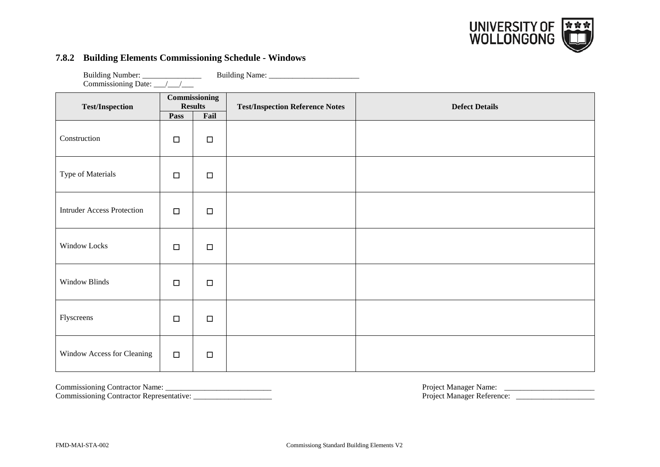

#### **7.8.2 Building Elements Commissioning Schedule - Windows**

Building Number: \_\_\_\_\_\_\_\_\_\_\_\_\_\_\_\_\_\_\_\_ Building Name: \_\_\_\_\_\_\_\_\_\_\_\_\_\_\_\_\_\_\_\_\_\_\_\_\_\_\_ Commissioning Date: \_\_\_/\_\_\_/\_\_\_

|                                   |        | Commissioning          |                                        |                       |
|-----------------------------------|--------|------------------------|----------------------------------------|-----------------------|
| <b>Test/Inspection</b>            | Pass   | <b>Results</b><br>Fail | <b>Test/Inspection Reference Notes</b> | <b>Defect Details</b> |
| Construction                      | $\Box$ | $\Box$                 |                                        |                       |
| Type of Materials                 | $\Box$ | $\Box$                 |                                        |                       |
| <b>Intruder Access Protection</b> | $\Box$ | $\Box$                 |                                        |                       |
| Window Locks                      | $\Box$ | $\Box$                 |                                        |                       |
| Window Blinds                     | $\Box$ | $\Box$                 |                                        |                       |
| Flyscreens                        | $\Box$ | $\Box$                 |                                        |                       |
| Window Access for Cleaning        | $\Box$ | $\Box$                 |                                        |                       |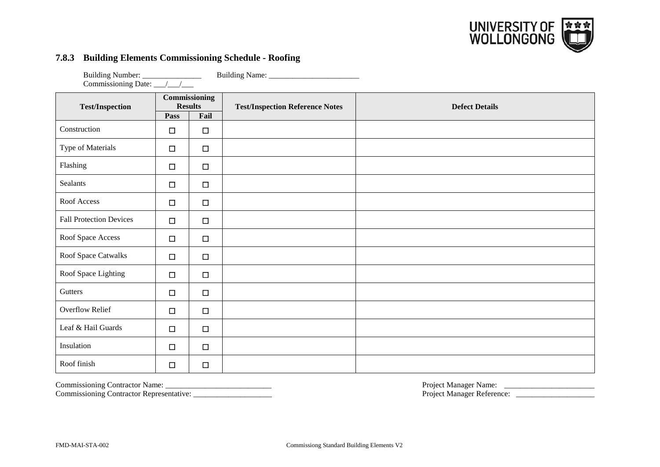

#### **7.8.3 Building Elements Commissioning Schedule - Roofing**

| <b>Test/Inspection</b>         |        | Commissioning<br><b>Results</b> | <b>Test/Inspection Reference Notes</b> | <b>Defect Details</b> |
|--------------------------------|--------|---------------------------------|----------------------------------------|-----------------------|
|                                | Pass   | Fail                            |                                        |                       |
| Construction                   | $\Box$ | $\Box$                          |                                        |                       |
| Type of Materials              | $\Box$ | $\Box$                          |                                        |                       |
| Flashing                       | $\Box$ | $\Box$                          |                                        |                       |
| <b>Sealants</b>                | $\Box$ | $\Box$                          |                                        |                       |
| Roof Access                    | $\Box$ | $\Box$                          |                                        |                       |
| <b>Fall Protection Devices</b> | $\Box$ | $\Box$                          |                                        |                       |
| Roof Space Access              | $\Box$ | $\Box$                          |                                        |                       |
| Roof Space Catwalks            | $\Box$ | $\Box$                          |                                        |                       |
| Roof Space Lighting            | $\Box$ | $\Box$                          |                                        |                       |
| Gutters                        | $\Box$ | $\Box$                          |                                        |                       |
| <b>Overflow Relief</b>         | $\Box$ | $\Box$                          |                                        |                       |
| Leaf & Hail Guards             | $\Box$ | $\Box$                          |                                        |                       |
| Insulation                     | $\Box$ | $\Box$                          |                                        |                       |
| Roof finish                    | $\Box$ | $\Box$                          |                                        |                       |

Commissioning Contractor Representative: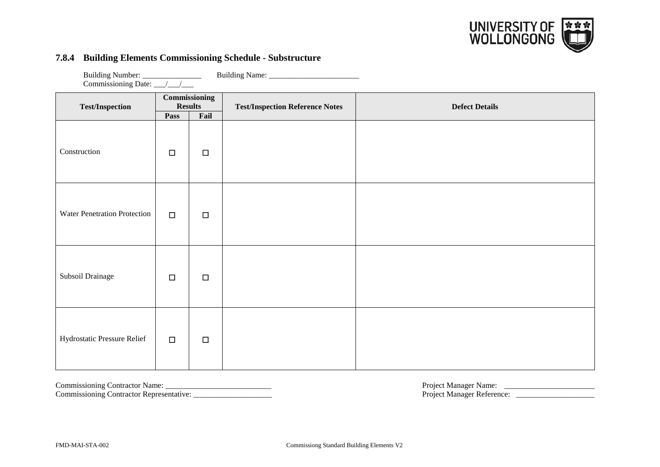

#### **7.8.4 Building Elements Commissioning Schedule - Substructure**

| <b>Test/Inspection</b>       | Pass   | <b>Commissioning</b><br><b>Results</b><br>Fail | <b>Test/Inspection Reference Notes</b> | <b>Defect Details</b> |
|------------------------------|--------|------------------------------------------------|----------------------------------------|-----------------------|
| Construction                 | $\Box$ | $\Box$                                         |                                        |                       |
| Water Penetration Protection | $\Box$ | $\Box$                                         |                                        |                       |
| Subsoil Drainage             | $\Box$ | $\Box$                                         |                                        |                       |
| Hydrostatic Pressure Relief  | $\Box$ | $\Box$                                         |                                        |                       |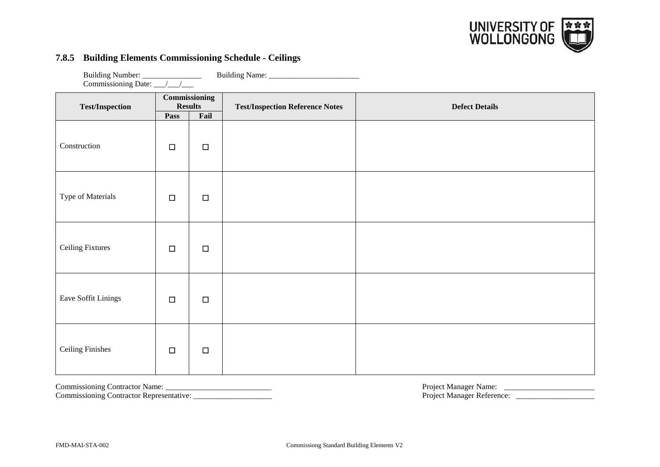

# **7.8.5 Building Elements Commissioning Schedule - Ceilings**

Building Number: \_\_\_\_\_\_\_\_\_\_\_\_\_\_\_ Building Name: \_\_\_\_\_\_\_\_\_\_\_\_\_\_\_\_\_\_\_\_\_\_\_

| Commissioning Date: __/__/__ |        |                                 |                                        |                       |  |
|------------------------------|--------|---------------------------------|----------------------------------------|-----------------------|--|
| <b>Test/Inspection</b>       |        | Commissioning<br><b>Results</b> | <b>Test/Inspection Reference Notes</b> | <b>Defect Details</b> |  |
|                              | Pass   | Fail                            |                                        |                       |  |
| Construction                 | $\Box$ | $\Box$                          |                                        |                       |  |
| Type of Materials            | $\Box$ | $\Box$                          |                                        |                       |  |
| <b>Ceiling Fixtures</b>      | $\Box$ | $\Box$                          |                                        |                       |  |
| Eave Soffit Linings          | $\Box$ | $\Box$                          |                                        |                       |  |
| <b>Ceiling Finishes</b>      | $\Box$ | $\Box$                          |                                        |                       |  |

Commissioning Contractor Representative: \_\_\_\_\_\_\_\_\_\_\_\_\_\_\_\_\_\_\_\_ Project Manager Reference: \_\_\_\_\_\_\_\_\_\_\_\_\_\_\_\_\_\_\_\_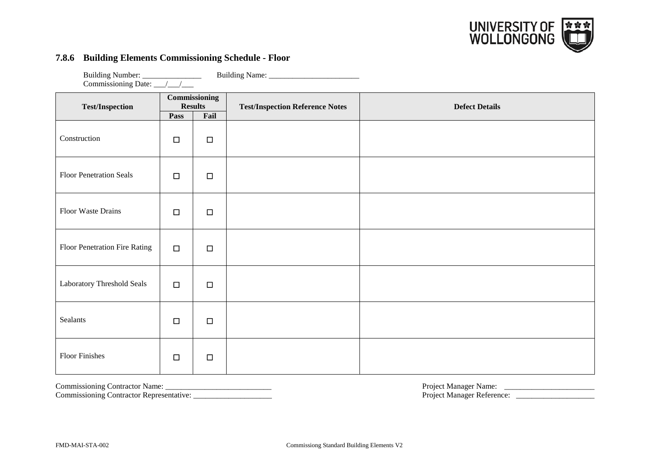

#### **7.8.6 Building Elements Commissioning Schedule - Floor**

Building Number: \_\_\_\_\_\_\_\_\_\_\_\_\_\_\_\_\_\_\_\_ Building Name: \_\_\_\_\_\_\_\_\_\_\_\_\_\_\_\_\_\_\_\_\_\_\_\_\_\_\_ Commissioning Date: \_\_\_/\_\_\_/\_\_\_

| <b>Test/Inspection</b>         |        | Commissioning<br><b>Results</b> | <b>Test/Inspection Reference Notes</b> | <b>Defect Details</b> |
|--------------------------------|--------|---------------------------------|----------------------------------------|-----------------------|
|                                | Pass   | Fail                            |                                        |                       |
| Construction                   | $\Box$ | $\Box$                          |                                        |                       |
| <b>Floor Penetration Seals</b> | $\Box$ | $\Box$                          |                                        |                       |
| Floor Waste Drains             | $\Box$ | $\Box$                          |                                        |                       |
| Floor Penetration Fire Rating  | $\Box$ | $\Box$                          |                                        |                       |
| Laboratory Threshold Seals     | $\Box$ | $\Box$                          |                                        |                       |
| Sealants                       | $\Box$ | $\Box$                          |                                        |                       |
| <b>Floor Finishes</b>          | $\Box$ | $\Box$                          |                                        |                       |

Commissioning Contractor Representative: \_\_\_\_\_\_\_\_\_\_\_\_\_\_\_\_\_\_\_\_ Project Manager Reference: \_\_\_\_\_\_\_\_\_\_\_\_\_\_\_\_\_\_\_\_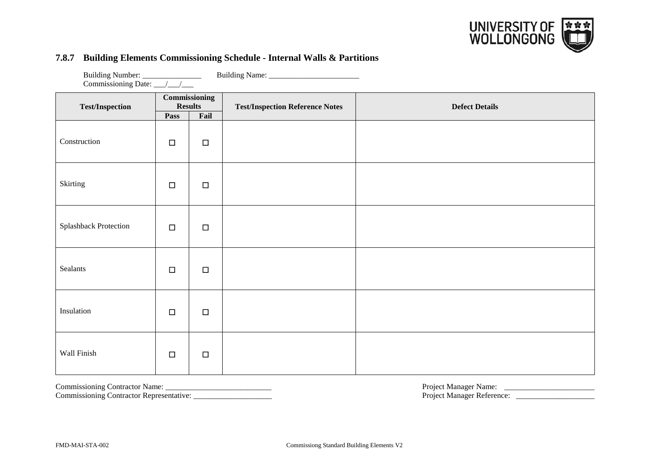

#### **7.8.7 Building Elements Commissioning Schedule - Internal Walls & Partitions**

Building Number: \_\_\_\_\_\_\_\_\_\_\_\_\_\_\_ Building Name: \_\_\_\_\_\_\_\_\_\_\_\_\_\_\_\_\_\_\_\_\_\_\_

| Commissioning Date: __/__/___ |                                        |        |                                        |                       |  |
|-------------------------------|----------------------------------------|--------|----------------------------------------|-----------------------|--|
| <b>Test/Inspection</b>        | <b>Commissioning</b><br><b>Results</b> |        | <b>Test/Inspection Reference Notes</b> | <b>Defect Details</b> |  |
|                               | Pass                                   | Fail   |                                        |                       |  |
| Construction                  | $\Box$                                 | $\Box$ |                                        |                       |  |
| Skirting                      | $\Box$                                 | $\Box$ |                                        |                       |  |
| Splashback Protection         | $\Box$                                 | $\Box$ |                                        |                       |  |
| Sealants                      | $\Box$                                 | $\Box$ |                                        |                       |  |
| Insulation                    | $\Box$                                 | $\Box$ |                                        |                       |  |
| Wall Finish                   | $\Box$                                 | $\Box$ |                                        |                       |  |

Commissioning Contractor Representative: \_\_\_\_\_\_\_\_\_\_\_\_\_\_\_\_\_\_\_\_ Project Manager Reference: \_\_\_\_\_\_\_\_\_\_\_\_\_\_\_\_\_\_\_\_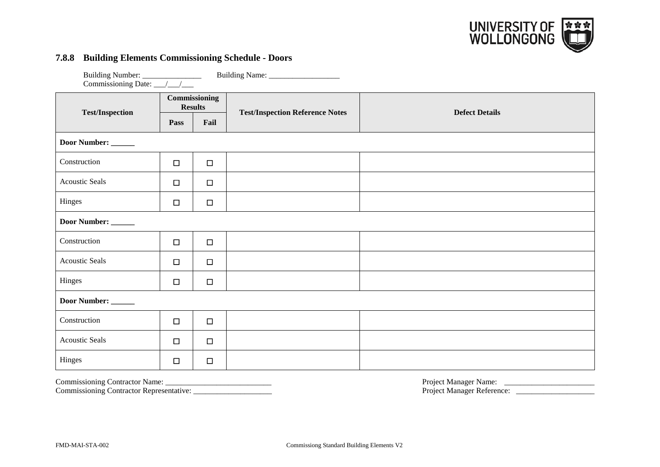

# **7.8.8 Building Elements Commissioning Schedule - Doors**

| <b>Test/Inspection</b> | Commissioning<br><b>Results</b> |        | <b>Test/Inspection Reference Notes</b> | <b>Defect Details</b> |  |
|------------------------|---------------------------------|--------|----------------------------------------|-----------------------|--|
|                        | Pass                            | Fail   |                                        |                       |  |
| Door Number:           |                                 |        |                                        |                       |  |
| Construction           | $\Box$                          | $\Box$ |                                        |                       |  |
| <b>Acoustic Seals</b>  | $\Box$                          | $\Box$ |                                        |                       |  |
| Hinges                 | $\Box$                          | $\Box$ |                                        |                       |  |
| Door Number:           |                                 |        |                                        |                       |  |
| Construction           | $\Box$                          | $\Box$ |                                        |                       |  |
| <b>Acoustic Seals</b>  | $\Box$                          | $\Box$ |                                        |                       |  |
| Hinges                 | $\Box$                          | $\Box$ |                                        |                       |  |
| Door Number: _____     |                                 |        |                                        |                       |  |
| Construction           | $\Box$                          | $\Box$ |                                        |                       |  |
| <b>Acoustic Seals</b>  | $\Box$                          | $\Box$ |                                        |                       |  |
| Hinges                 | $\Box$                          | $\Box$ |                                        |                       |  |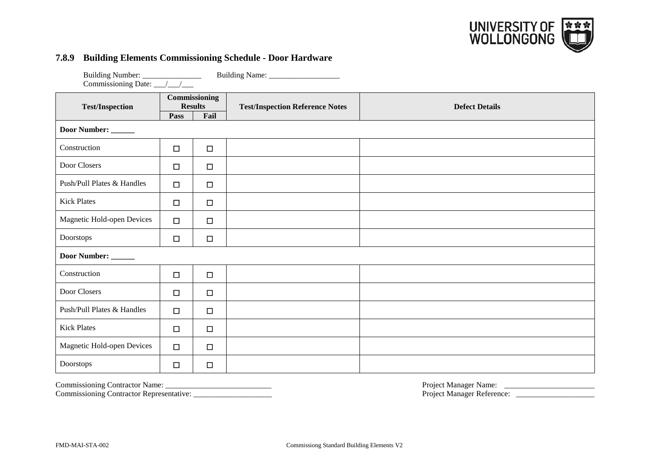

# **7.8.9 Building Elements Commissioning Schedule - Door Hardware**

| Building Name: _________________ |                                 |        |                                        |                       |  |  |
|----------------------------------|---------------------------------|--------|----------------------------------------|-----------------------|--|--|
| <b>Test/Inspection</b>           | Commissioning<br><b>Results</b> |        | <b>Test/Inspection Reference Notes</b> | <b>Defect Details</b> |  |  |
|                                  | Pass                            | Fail   |                                        |                       |  |  |
| Door Number:                     |                                 |        |                                        |                       |  |  |
| Construction                     | $\Box$                          | $\Box$ |                                        |                       |  |  |
| Door Closers                     | $\Box$                          | $\Box$ |                                        |                       |  |  |
| Push/Pull Plates & Handles       | $\Box$                          | $\Box$ |                                        |                       |  |  |
| <b>Kick Plates</b>               | $\Box$                          | $\Box$ |                                        |                       |  |  |
| Magnetic Hold-open Devices       | $\Box$                          | $\Box$ |                                        |                       |  |  |
| Doorstops                        | $\Box$                          | $\Box$ |                                        |                       |  |  |
| Door Number:                     |                                 |        |                                        |                       |  |  |
| Construction                     | $\Box$                          | $\Box$ |                                        |                       |  |  |
| Door Closers                     | $\Box$                          | $\Box$ |                                        |                       |  |  |
| Push/Pull Plates & Handles       | $\Box$                          | $\Box$ |                                        |                       |  |  |
| <b>Kick Plates</b>               | $\Box$                          | $\Box$ |                                        |                       |  |  |
| Magnetic Hold-open Devices       | $\Box$                          | $\Box$ |                                        |                       |  |  |
| Doorstops                        | $\Box$                          | $\Box$ |                                        |                       |  |  |

Commissioning Contractor Representative: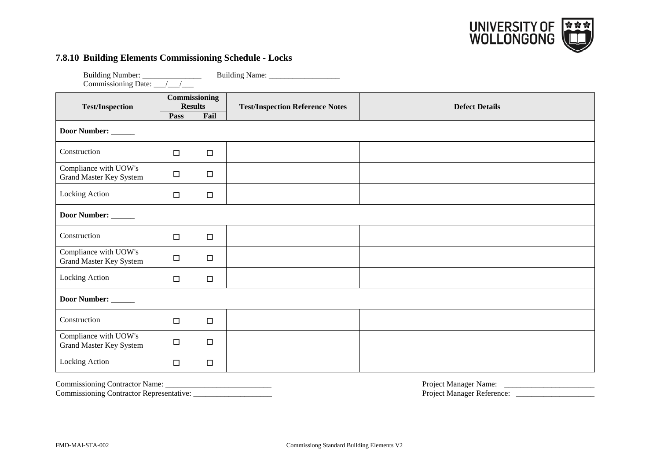

# **7.8.10 Building Elements Commissioning Schedule - Locks**

| Building Number: _________________                      |                        |                       |                                        |                       |
|---------------------------------------------------------|------------------------|-----------------------|----------------------------------------|-----------------------|
| <b>Test/Inspection</b>                                  | <b>Results</b><br>Pass | Commissioning<br>Fail | <b>Test/Inspection Reference Notes</b> | <b>Defect Details</b> |
| Door Number: _____                                      |                        |                       |                                        |                       |
| Construction                                            | $\Box$                 | $\Box$                |                                        |                       |
| Compliance with UOW's<br><b>Grand Master Key System</b> | $\Box$                 | $\Box$                |                                        |                       |
| Locking Action                                          | $\Box$                 | $\Box$                |                                        |                       |
| Door Number:                                            |                        |                       |                                        |                       |
| Construction                                            | $\Box$                 | $\Box$                |                                        |                       |
| Compliance with UOW's<br>Grand Master Key System        | $\Box$                 | $\Box$                |                                        |                       |
| Locking Action                                          | $\Box$                 | $\Box$                |                                        |                       |
| Door Number: _____                                      |                        |                       |                                        |                       |
| Construction                                            | $\Box$                 | $\Box$                |                                        |                       |
| Compliance with UOW's<br>Grand Master Key System        | $\Box$                 | $\Box$                |                                        |                       |
| Locking Action                                          | $\Box$                 | $\Box$                |                                        |                       |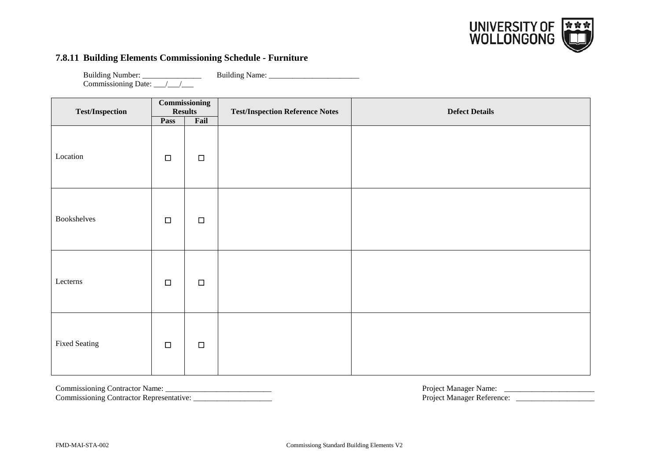

# **7.8.11 Building Elements Commissioning Schedule - Furniture**

Building Number: \_\_\_\_\_\_\_\_\_\_\_\_\_\_\_\_\_\_\_\_ Building Name: \_\_\_\_\_\_\_\_\_\_\_\_\_\_\_\_\_\_\_\_\_\_\_\_\_\_\_ Commissioning Date: \_\_\_/\_\_\_/\_\_\_

| <b>Test/Inspection</b> |        | <b>Commissioning</b><br><b>Results</b> | <b>Test/Inspection Reference Notes</b> | <b>Defect Details</b> |
|------------------------|--------|----------------------------------------|----------------------------------------|-----------------------|
|                        | Pass   | Fail                                   |                                        |                       |
| Location               | $\Box$ | $\Box$                                 |                                        |                       |
| Bookshelves            | $\Box$ | $\Box$                                 |                                        |                       |
| Lecterns               | $\Box$ | $\Box$                                 |                                        |                       |
| <b>Fixed Seating</b>   | $\Box$ | $\Box$                                 |                                        |                       |

Commissioning Contractor Representative: \_\_\_\_\_\_\_\_\_\_\_\_\_\_\_\_\_\_\_\_ Project Manager Reference: \_\_\_\_\_\_\_\_\_\_\_\_\_\_\_\_\_\_\_\_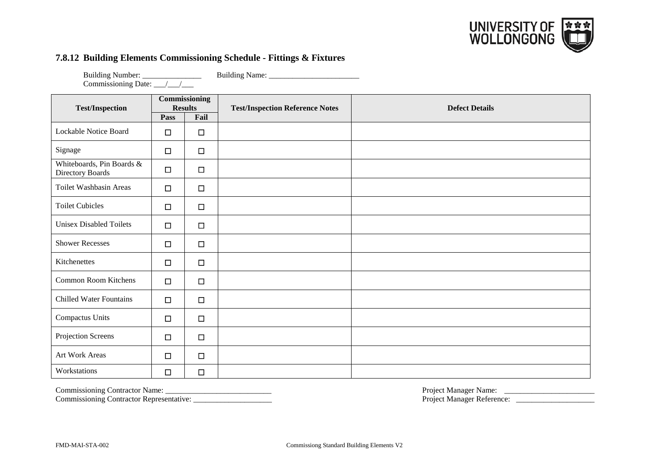

# **7.8.12 Building Elements Commissioning Schedule - Fittings & Fixtures**

Building Number: \_\_\_\_\_\_\_\_\_\_\_\_\_\_\_\_\_\_\_\_ Building Name: \_\_\_\_\_\_\_\_\_\_\_\_\_\_\_\_\_\_\_\_\_\_\_\_\_\_\_ Commissioning Date: \_\_\_/\_\_\_/\_\_\_

| <b>Test/Inspection</b>                        |        | Commissioning<br><b>Results</b> | <b>Test/Inspection Reference Notes</b> | <b>Defect Details</b> |
|-----------------------------------------------|--------|---------------------------------|----------------------------------------|-----------------------|
|                                               | Pass   | Fail                            |                                        |                       |
| Lockable Notice Board                         | $\Box$ | $\Box$                          |                                        |                       |
| Signage                                       | $\Box$ | $\Box$                          |                                        |                       |
| Whiteboards, Pin Boards &<br>Directory Boards | $\Box$ | $\Box$                          |                                        |                       |
| Toilet Washbasin Areas                        | $\Box$ | $\Box$                          |                                        |                       |
| <b>Toilet Cubicles</b>                        | $\Box$ | $\Box$                          |                                        |                       |
| <b>Unisex Disabled Toilets</b>                | $\Box$ | $\Box$                          |                                        |                       |
| <b>Shower Recesses</b>                        | $\Box$ | $\Box$                          |                                        |                       |
| Kitchenettes                                  | $\Box$ | $\Box$                          |                                        |                       |
| Common Room Kitchens                          | $\Box$ | $\Box$                          |                                        |                       |
| <b>Chilled Water Fountains</b>                | $\Box$ | $\Box$                          |                                        |                       |
| Compactus Units                               | $\Box$ | $\Box$                          |                                        |                       |
| Projection Screens                            | $\Box$ | $\Box$                          |                                        |                       |
| Art Work Areas                                | $\Box$ | $\Box$                          |                                        |                       |
| Workstations                                  | $\Box$ | $\Box$                          |                                        |                       |

Commissioning Contractor Representative: \_\_\_\_\_\_\_\_\_\_\_\_\_\_\_\_\_\_\_\_ Project Manager Reference: \_\_\_\_\_\_\_\_\_\_\_\_\_\_\_\_\_\_\_\_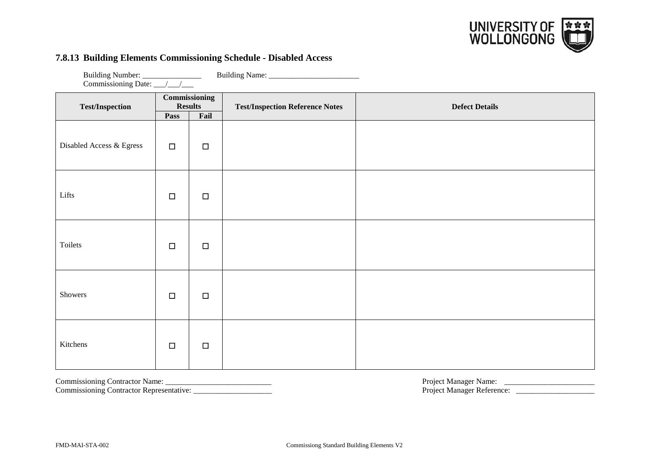

#### **7.8.13 Building Elements Commissioning Schedule - Disabled Access**

| <b>Test/Inspection</b>   | Commissioning<br><b>Results</b> |        | <b>Test/Inspection Reference Notes</b> | <b>Defect Details</b> |
|--------------------------|---------------------------------|--------|----------------------------------------|-----------------------|
|                          | Pass                            | Fail   |                                        |                       |
| Disabled Access & Egress | $\Box$                          | $\Box$ |                                        |                       |
| Lifts                    | $\Box$                          | $\Box$ |                                        |                       |
|                          |                                 |        |                                        |                       |
| Toilets                  | $\Box$                          | $\Box$ |                                        |                       |
|                          |                                 |        |                                        |                       |
| Showers                  | $\Box$                          | $\Box$ |                                        |                       |
| Kitchens                 | $\Box$                          | $\Box$ |                                        |                       |